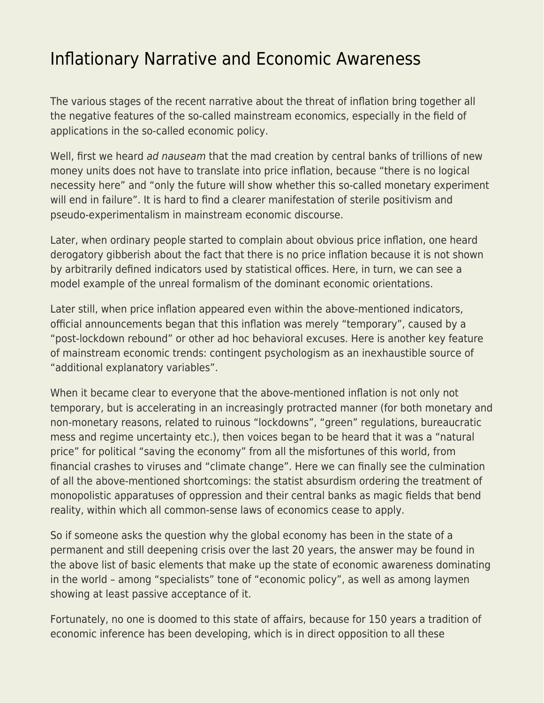## [Inflationary Narrative and Economic Awareness](https://everything-voluntary.com/inflationary-narrative-and-economic-awareness)

The various stages of the recent narrative about the threat of inflation bring together all the negative features of the so-called mainstream economics, especially in the field of applications in the so-called economic policy.

Well, first we heard ad nauseam that the mad creation by central banks of trillions of new money units does not have to translate into price inflation, because "there is no logical necessity here" and "only the future will show whether this so-called monetary experiment will end in failure". It is hard to find a clearer manifestation of sterile positivism and pseudo-experimentalism in mainstream economic discourse.

Later, when ordinary people started to complain about obvious price inflation, one heard derogatory gibberish about the fact that there is no price inflation because it is not shown by arbitrarily defined indicators used by statistical offices. Here, in turn, we can see a model example of the unreal formalism of the dominant economic orientations.

Later still, when price inflation appeared even within the above-mentioned indicators, official announcements began that this inflation was merely "temporary", caused by a "post-lockdown rebound" or other ad hoc behavioral excuses. Here is another key feature of mainstream economic trends: contingent psychologism as an inexhaustible source of "additional explanatory variables".

When it became clear to everyone that the above-mentioned inflation is not only not temporary, but is accelerating in an increasingly protracted manner (for both monetary and non-monetary reasons, related to ruinous "lockdowns", "green" regulations, bureaucratic mess and regime uncertainty etc.), then voices began to be heard that it was a "natural price" for political "saving the economy" from all the misfortunes of this world, from financial crashes to viruses and "climate change". Here we can finally see the culmination of all the above-mentioned shortcomings: the statist absurdism ordering the treatment of monopolistic apparatuses of oppression and their central banks as magic fields that bend reality, within which all common-sense laws of economics cease to apply.

So if someone asks the question why the global economy has been in the state of a permanent and still deepening crisis over the last 20 years, the answer may be found in the above list of basic elements that make up the state of economic awareness dominating in the world – among "specialists" tone of "economic policy", as well as among laymen showing at least passive acceptance of it.

Fortunately, no one is doomed to this state of affairs, because for 150 years a tradition of economic inference has been developing, which is in direct opposition to all these